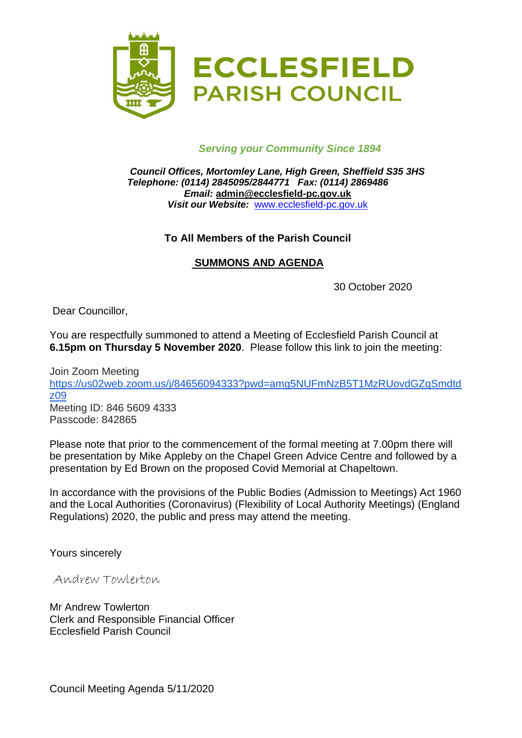

## *Serving your Community Since 1894*

*Council Offices, Mortomley Lane, High Green, Sheffield S35 3HS Telephone: (0114) 2845095/2844771 Fax: (0114) 2869486 Email:* **admin@ecclesfield-pc.gov.uk** *Visit our Website:* [www.ecclesfield-pc.gov.uk](http://www.ecclesfield-pc.gov.uk/)

## **To All Members of the Parish Council**

## **SUMMONS AND AGENDA**

30 October 2020

Dear Councillor,

You are respectfully summoned to attend a Meeting of Ecclesfield Parish Council at **6.15pm on Thursday 5 November 2020**. Please follow this link to join the meeting:

Join Zoom Meeting [https://us02web.zoom.us/j/84656094333?pwd=amg5NUFmNzB5T1MzRUovdGZqSmdtd](https://us02web.zoom.us/j/84656094333?pwd=amg5NUFmNzB5T1MzRUovdGZqSmdtdz09) [z09](https://us02web.zoom.us/j/84656094333?pwd=amg5NUFmNzB5T1MzRUovdGZqSmdtdz09) Meeting ID: 846 5609 4333 Passcode: 842865

Please note that prior to the commencement of the formal meeting at 7.00pm there will be presentation by Mike Appleby on the Chapel Green Advice Centre and followed by a presentation by Ed Brown on the proposed Covid Memorial at Chapeltown.

In accordance with the provisions of the Public Bodies (Admission to Meetings) Act 1960 and the Local Authorities (Coronavirus) (Flexibility of Local Authority Meetings) (England Regulations) 2020, the public and press may attend the meeting.

Yours sincerely

Andrew Towlerton

Mr Andrew Towlerton Clerk and Responsible Financial Officer Ecclesfield Parish Council

Council Meeting Agenda 5/11/2020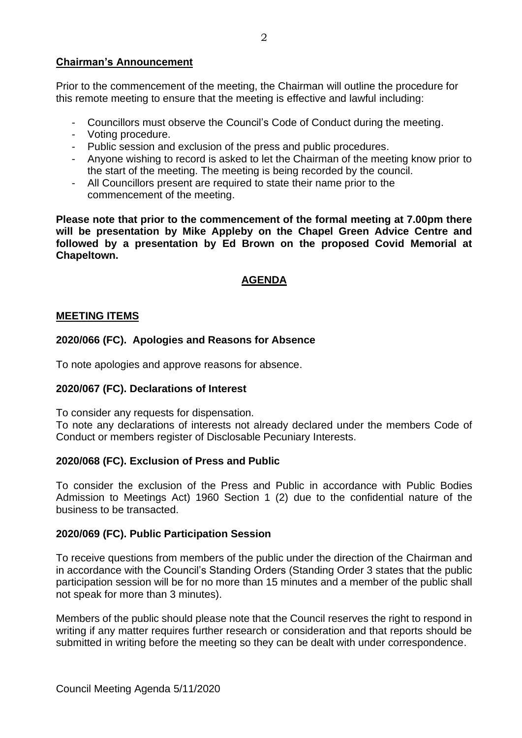### **Chairman's Announcement**

Prior to the commencement of the meeting, the Chairman will outline the procedure for this remote meeting to ensure that the meeting is effective and lawful including:

- Councillors must observe the Council's Code of Conduct during the meeting.
- Voting procedure.
- Public session and exclusion of the press and public procedures.
- Anyone wishing to record is asked to let the Chairman of the meeting know prior to the start of the meeting. The meeting is being recorded by the council.
- All Councillors present are required to state their name prior to the commencement of the meeting.

**Please note that prior to the commencement of the formal meeting at 7.00pm there will be presentation by Mike Appleby on the Chapel Green Advice Centre and followed by a presentation by Ed Brown on the proposed Covid Memorial at Chapeltown.**

# **AGENDA**

### **MEETING ITEMS**

## **2020/066 (FC). Apologies and Reasons for Absence**

To note apologies and approve reasons for absence.

### **2020/067 (FC). Declarations of Interest**

To consider any requests for dispensation.

To note any declarations of interests not already declared under the members Code of Conduct or members register of Disclosable Pecuniary Interests.

### **2020/068 (FC). Exclusion of Press and Public**

To consider the exclusion of the Press and Public in accordance with Public Bodies Admission to Meetings Act) 1960 Section 1 (2) due to the confidential nature of the business to be transacted.

### **2020/069 (FC). Public Participation Session**

To receive questions from members of the public under the direction of the Chairman and in accordance with the Council's Standing Orders (Standing Order 3 states that the public participation session will be for no more than 15 minutes and a member of the public shall not speak for more than 3 minutes).

Members of the public should please note that the Council reserves the right to respond in writing if any matter requires further research or consideration and that reports should be submitted in writing before the meeting so they can be dealt with under correspondence.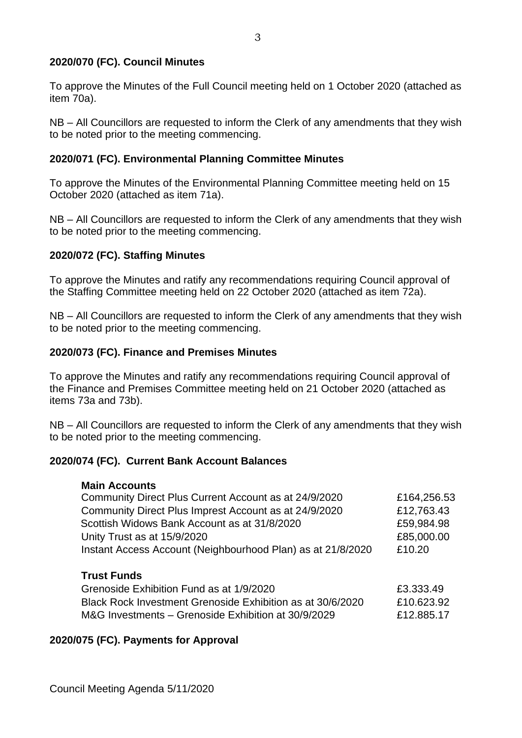## **2020/070 (FC). Council Minutes**

To approve the Minutes of the Full Council meeting held on 1 October 2020 (attached as item 70a).

NB – All Councillors are requested to inform the Clerk of any amendments that they wish to be noted prior to the meeting commencing.

### **2020/071 (FC). Environmental Planning Committee Minutes**

To approve the Minutes of the Environmental Planning Committee meeting held on 15 October 2020 (attached as item 71a).

NB – All Councillors are requested to inform the Clerk of any amendments that they wish to be noted prior to the meeting commencing.

### **2020/072 (FC). Staffing Minutes**

To approve the Minutes and ratify any recommendations requiring Council approval of the Staffing Committee meeting held on 22 October 2020 (attached as item 72a).

NB – All Councillors are requested to inform the Clerk of any amendments that they wish to be noted prior to the meeting commencing.

### **2020/073 (FC). Finance and Premises Minutes**

To approve the Minutes and ratify any recommendations requiring Council approval of the Finance and Premises Committee meeting held on 21 October 2020 (attached as items 73a and 73b).

NB – All Councillors are requested to inform the Clerk of any amendments that they wish to be noted prior to the meeting commencing.

#### **2020/074 (FC). Current Bank Account Balances**

#### **Main Accounts**

| Community Direct Plus Current Account as at 24/9/2020                 | £164,256.53 |
|-----------------------------------------------------------------------|-------------|
| Community Direct Plus Imprest Account as at 24/9/2020                 | £12,763.43  |
| Scottish Widows Bank Account as at 31/8/2020                          | £59,984.98  |
| Unity Trust as at 15/9/2020                                           | £85,000.00  |
| Instant Access Account (Neighbourhood Plan) as at 21/8/2020<br>£10.20 |             |

## **Trust Funds**

| Grenoside Exhibition Fund as at 1/9/2020                   | £3.333.49  |
|------------------------------------------------------------|------------|
| Black Rock Investment Grenoside Exhibition as at 30/6/2020 | £10.623.92 |
| M&G Investments – Grenoside Exhibition at 30/9/2029        | £12.885.17 |

### **2020/075 (FC). Payments for Approval**